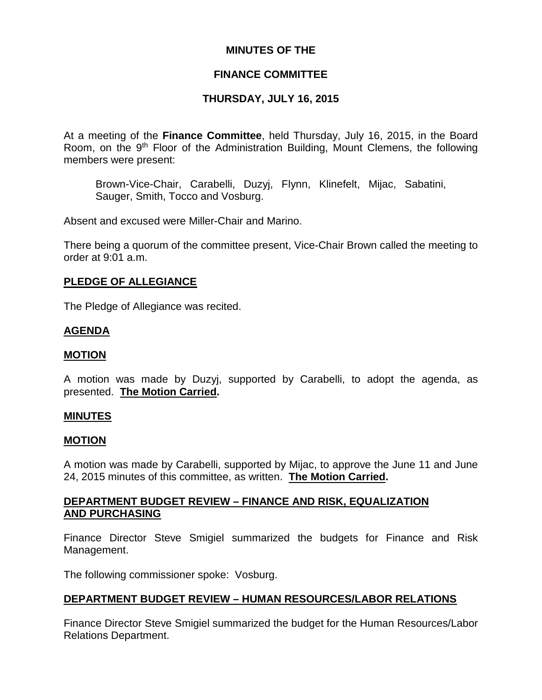## **MINUTES OF THE**

## **FINANCE COMMITTEE**

## **THURSDAY, JULY 16, 2015**

At a meeting of the **Finance Committee**, held Thursday, July 16, 2015, in the Board Room, on the 9<sup>th</sup> Floor of the Administration Building, Mount Clemens, the following members were present:

Brown-Vice-Chair, Carabelli, Duzyj, Flynn, Klinefelt, Mijac, Sabatini, Sauger, Smith, Tocco and Vosburg.

Absent and excused were Miller-Chair and Marino.

There being a quorum of the committee present, Vice-Chair Brown called the meeting to order at 9:01 a.m.

### **PLEDGE OF ALLEGIANCE**

The Pledge of Allegiance was recited.

### **AGENDA**

#### **MOTION**

A motion was made by Duzyj, supported by Carabelli, to adopt the agenda, as presented. **The Motion Carried.**

#### **MINUTES**

#### **MOTION**

A motion was made by Carabelli, supported by Mijac, to approve the June 11 and June 24, 2015 minutes of this committee, as written. **The Motion Carried.**

### **DEPARTMENT BUDGET REVIEW – FINANCE AND RISK, EQUALIZATION AND PURCHASING**

Finance Director Steve Smigiel summarized the budgets for Finance and Risk Management.

The following commissioner spoke: Vosburg.

#### **DEPARTMENT BUDGET REVIEW – HUMAN RESOURCES/LABOR RELATIONS**

Finance Director Steve Smigiel summarized the budget for the Human Resources/Labor Relations Department.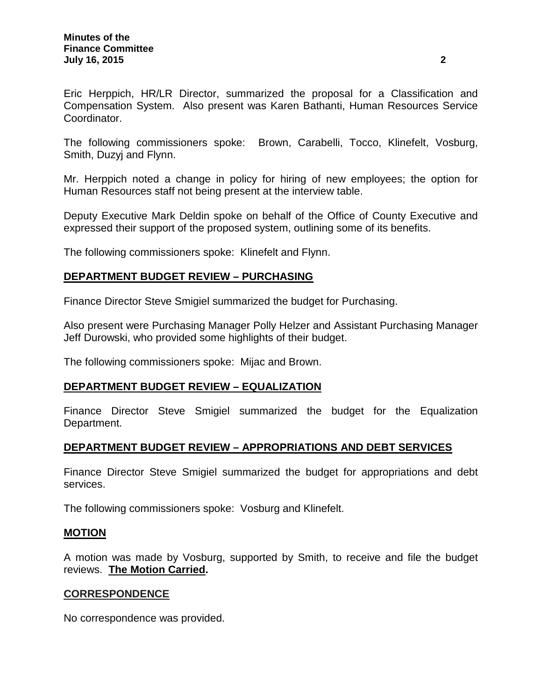Eric Herppich, HR/LR Director, summarized the proposal for a Classification and Compensation System. Also present was Karen Bathanti, Human Resources Service Coordinator.

The following commissioners spoke: Brown, Carabelli, Tocco, Klinefelt, Vosburg, Smith, Duzyj and Flynn.

Mr. Herppich noted a change in policy for hiring of new employees; the option for Human Resources staff not being present at the interview table.

Deputy Executive Mark Deldin spoke on behalf of the Office of County Executive and expressed their support of the proposed system, outlining some of its benefits.

The following commissioners spoke: Klinefelt and Flynn.

## **DEPARTMENT BUDGET REVIEW – PURCHASING**

Finance Director Steve Smigiel summarized the budget for Purchasing.

Also present were Purchasing Manager Polly Helzer and Assistant Purchasing Manager Jeff Durowski, who provided some highlights of their budget.

The following commissioners spoke: Mijac and Brown.

## **DEPARTMENT BUDGET REVIEW – EQUALIZATION**

Finance Director Steve Smigiel summarized the budget for the Equalization Department.

## **DEPARTMENT BUDGET REVIEW – APPROPRIATIONS AND DEBT SERVICES**

Finance Director Steve Smigiel summarized the budget for appropriations and debt services.

The following commissioners spoke: Vosburg and Klinefelt.

#### **MOTION**

A motion was made by Vosburg, supported by Smith, to receive and file the budget reviews. **The Motion Carried.**

## **CORRESPONDENCE**

No correspondence was provided.